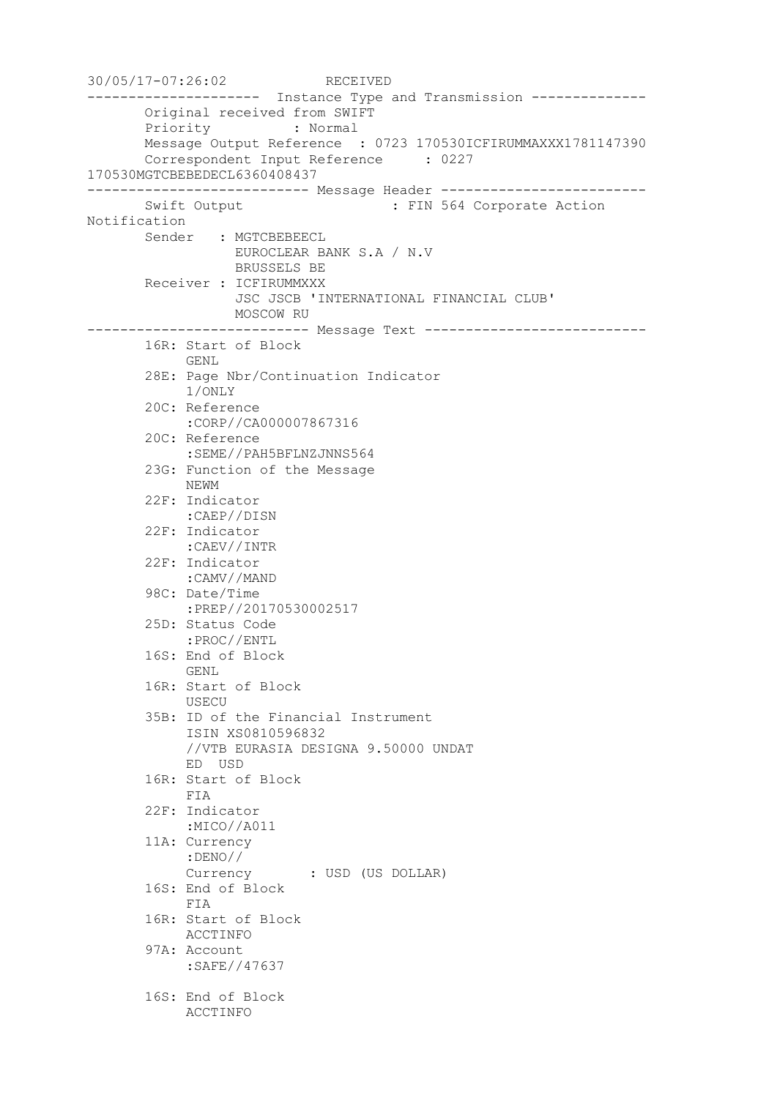30/05/17-07:26:02 RECEIVED --------------------- Instance Type and Transmission -------------- Original received from SWIFT Priority : Normal Message Output Reference : 0723 170530ICFIRUMMAXXX1781147390 Correspondent Input Reference : 0227 170530MGTCBEBEDECL6360408437 --------------------------- Message Header ------------------------- Swift Output : FIN 564 Corporate Action Notification Sender : MGTCBEBEECL EUROCLEAR BANK S.A / N.V BRUSSELS BE Receiver : ICFIRUMMXXX JSC JSCB 'INTERNATIONAL FINANCIAL CLUB' MOSCOW RU --------------------------- Message Text --------------------------- 16R: Start of Block GENL 28E: Page Nbr/Continuation Indicator 1/ONLY 20C: Reference :CORP//CA000007867316 20C: Reference :SEME//PAH5BFLNZJNNS564 23G: Function of the Message NEWM 22F: Indicator :CAEP//DISN 22F: Indicator :CAEV//INTR 22F: Indicator :CAMV//MAND 98C: Date/Time :PREP//20170530002517 25D: Status Code :PROC//ENTL 16S: End of Block GENL 16R: Start of Block USECU 35B: ID of the Financial Instrument ISIN XS0810596832 //VTB EURASIA DESIGNA 9.50000 UNDAT ED USD 16R: Start of Block FIA 22F: Indicator :MICO//A011 11A: Currency :DENO// Currency : USD (US DOLLAR) 16S: End of Block FIA 16R: Start of Block ACCTINFO 97A: Account :SAFE//47637 16S: End of Block ACCTINFO